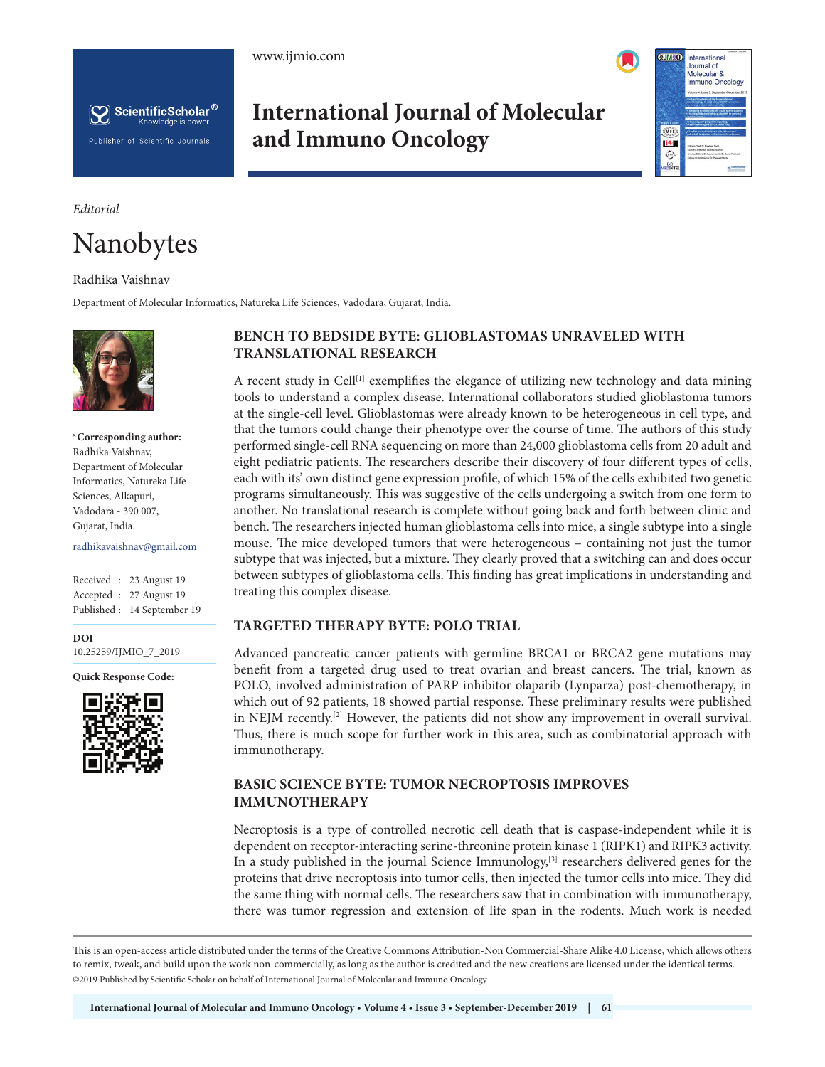



## **International Journal of Molecular and Immuno Oncology**



#### *Editorial*

# Nanobytes

#### Radhika Vaishnav

Department of Molecular Informatics, Natureka Life Sciences, Vadodara, Gujarat, India.



**\*Corresponding author:** Radhika Vaishnav, Department of Molecular Informatics, Natureka Life Sciences, Alkapuri, Vadodara - 390 007, Gujarat, India.

radhikavaishnav@gmail.com

Received : 23 August 19 Accepted : 27 August 19 Published : 14 September 19

**DOI** 10.25259/IJMIO\_7\_2019 **DOI**

**Quick Response Code:** \*\*\*



## **BENCH TO BEDSIDE BYTE: GLIOBLASTOMAS UNRAVELED WITH TRANSLATIONAL RESEARCH**

A recent study in Cell<sup>[1]</sup> exemplifies the elegance of utilizing new technology and data mining tools to understand a complex disease. International collaborators studied glioblastoma tumors at the single-cell level. Glioblastomas were already known to be heterogeneous in cell type, and that the tumors could change their phenotype over the course of time. The authors of this study performed single-cell RNA sequencing on more than 24,000 glioblastoma cells from 20 adult and eight pediatric patients. The researchers describe their discovery of four different types of cells, each with its' own distinct gene expression profile, of which 15% of the cells exhibited two genetic programs simultaneously. This was suggestive of the cells undergoing a switch from one form to another. No translational research is complete without going back and forth between clinic and bench. The researchers injected human glioblastoma cells into mice, a single subtype into a single mouse. The mice developed tumors that were heterogeneous – containing not just the tumor subtype that was injected, but a mixture. They clearly proved that a switching can and does occur between subtypes of glioblastoma cells. This finding has great implications in understanding and treating this complex disease.

### **TARGETED THERAPY BYTE: POLO TRIAL**

Advanced pancreatic cancer patients with germline BRCA1 or BRCA2 gene mutations may benefit from a targeted drug used to treat ovarian and breast cancers. The trial, known as POLO, involved administration of PARP inhibitor olaparib (Lynparza) post-chemotherapy, in which out of 92 patients, 18 showed partial response. These preliminary results were published in NEJM recently.[2] However, the patients did not show any improvement in overall survival. Thus, there is much scope for further work in this area, such as combinatorial approach with immunotherapy.

## **BASIC SCIENCE BYTE: TUMOR NECROPTOSIS IMPROVES IMMUNOTHERAPY**

Necroptosis is a type of controlled necrotic cell death that is caspase-independent while it is dependent on receptor-interacting serine-threonine protein kinase 1 (RIPK1) and RIPK3 activity. In a study published in the journal Science Immunology, $[3]$  researchers delivered genes for the proteins that drive necroptosis into tumor cells, then injected the tumor cells into mice. They did the same thing with normal cells. The researchers saw that in combination with immunotherapy, there was tumor regression and extension of life span in the rodents. Much work is needed

This is an open-access article distributed under the terms of the Creative Commons Attribution-Non Commercial-Share Alike 4.0 License, which allows others to remix, tweak, and build upon the work non-commercially, as long as the author is credited and the new creations are licensed under the identical terms. @2019 Published by Scientific Scholar on behalf of International Journal of Molecular and Immuno Oncology  $\mathcal{L}$  Published by Scientific Scholar on behalf on behalf of  $\mathcal{L}$  and  $\mathcal{L}$  immuno Oncology Oncology Oncology Oncology Oncology Oncology Oncology Oncology Oncology Oncology Oncology Oncology Oncology Oncology On